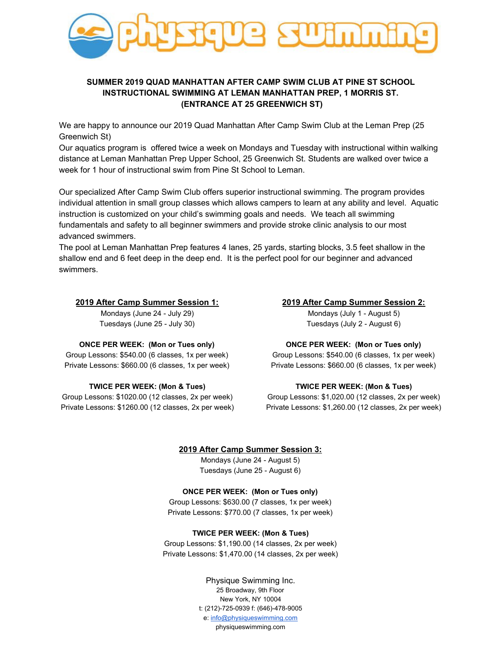

# **SUMMER 2019 QUAD MANHATTAN AFTER CAMP SWIM CLUB AT PINE ST SCHOOL INSTRUCTIONAL SWIMMING AT LEMAN MANHATTAN PREP, 1 MORRIS ST. (ENTRANCE AT 25 GREENWICH ST)**

We are happy to announce our 2019 Quad Manhattan After Camp Swim Club at the Leman Prep (25 Greenwich St)

Our aquatics program is offered twice a week on Mondays and Tuesday with instructional within walking distance at Leman Manhattan Prep Upper School, 25 Greenwich St. Students are walked over twice a week for 1 hour of instructional swim from Pine St School to Leman.

Our specialized After Camp Swim Club offers superior instructional swimming. The program provides individual attention in small group classes which allows campers to learn at any ability and level. Aquatic instruction is customized on your child's swimming goals and needs. We teach all swimming fundamentals and safety to all beginner swimmers and provide stroke clinic analysis to our most advanced swimmers.

The pool at Leman Manhattan Prep features 4 lanes, 25 yards, starting blocks, 3.5 feet shallow in the shallow end and 6 feet deep in the deep end. It is the perfect pool for our beginner and advanced swimmers.

## **2019 After Camp Summer Session 1:**

Mondays (June 24 - July 29) Tuesdays (June 25 - July 30)

# **2019 After Camp Summer Session 2:**

Mondays (July 1 - August 5) Tuesdays (July 2 - August 6)

## **ONCE PER WEEK: (Mon or Tues only)**

Group Lessons: \$540.00 (6 classes, 1x per week) Private Lessons: \$660.00 (6 classes, 1x per week)

#### **TWICE PER WEEK: (Mon & Tues)**

Group Lessons: \$1020.00 (12 classes, 2x per week) Private Lessons: \$1260.00 (12 classes, 2x per week)

# **ONCE PER WEEK: (Mon or Tues only)**

Group Lessons: \$540.00 (6 classes, 1x per week) Private Lessons: \$660.00 (6 classes, 1x per week)

#### **TWICE PER WEEK: (Mon & Tues)**

Group Lessons: \$1,020.00 (12 classes, 2x per week) Private Lessons: \$1,260.00 (12 classes, 2x per week)

#### **2019 After Camp Summer Session 3:**

Mondays (June 24 - August 5) Tuesdays (June 25 - August 6)

## **ONCE PER WEEK: (Mon or Tues only)**

Group Lessons: \$630.00 (7 classes, 1x per week) Private Lessons: \$770.00 (7 classes, 1x per week)

#### **TWICE PER WEEK: (Mon & Tues)**

Group Lessons: \$1,190.00 (14 classes, 2x per week) Private Lessons: \$1,470.00 (14 classes, 2x per week)

> Physique Swimming Inc. 25 Broadway, 9th Floor New York, NY 10004 t: (212)-725-0939 f: (646)-478-9005 e: [info@physiqueswimming.com](mailto:info@physiqueswimming.com) physiqueswimming.com